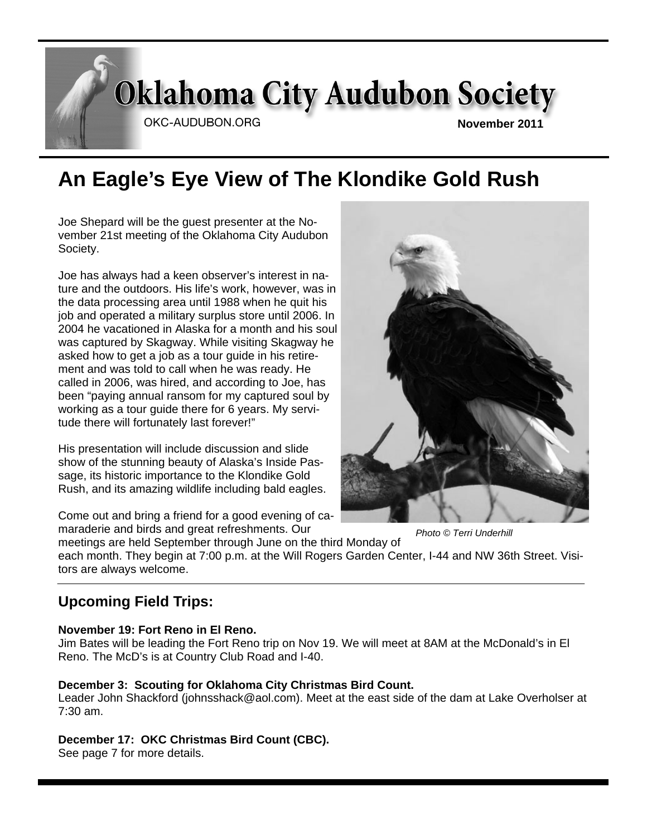# **Oklahoma City Audubon Society**

OKC-AUDUBON.ORG

# **An Eagle's Eye View of The Klondike Gold Rush**

Joe Shepard will be the guest presenter at the November 21st meeting of the Oklahoma City Audubon Society.

Joe has always had a keen observer's interest in nature and the outdoors. His life's work, however, was in the data processing area until 1988 when he quit his job and operated a military surplus store until 2006. In 2004 he vacationed in Alaska for a month and his soul was captured by Skagway. While visiting Skagway he asked how to get a job as a tour guide in his retirement and was told to call when he was ready. He called in 2006, was hired, and according to Joe, has been "paying annual ransom for my captured soul by working as a tour guide there for 6 years. My servitude there will fortunately last forever!"

His presentation will include discussion and slide show of the stunning beauty of Alaska's Inside Passage, its historic importance to the Klondike Gold Rush, and its amazing wildlife including bald eagles.

Come out and bring a friend for a good evening of camaraderie and birds and great refreshments. Our



*Photo © Terri Underhill* 

meetings are held September through June on the third Monday of each month. They begin at 7:00 p.m. at the Will Rogers Garden Center, I-44 and NW 36th Street. Visitors are always welcome.

# **Upcoming Field Trips:**

#### **November 19: Fort Reno in El Reno.**

Jim Bates will be leading the Fort Reno trip on Nov 19. We will meet at 8AM at the McDonald's in El Reno. The McD's is at Country Club Road and I-40.

#### **December 3: Scouting for Oklahoma City Christmas Bird Count.**

Leader John Shackford (johnsshack@aol.com). Meet at the east side of the dam at Lake Overholser at 7:30 am.

#### **December 17: OKC Christmas Bird Count (CBC).**

See page 7 for more details.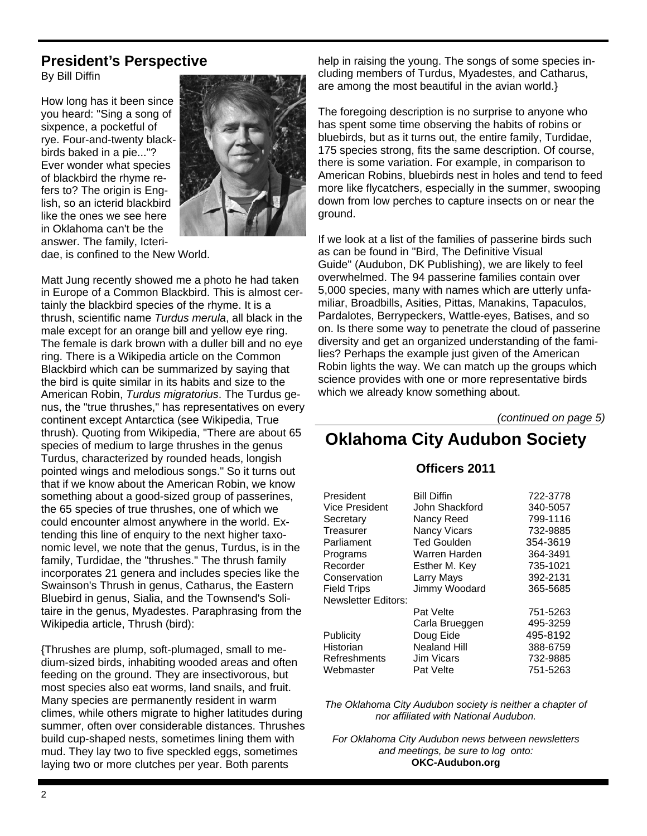### **President's Perspective**

By Bill Diffin

How long has it been since you heard: "Sing a song of sixpence, a pocketful of rye. Four-and-twenty blackbirds baked in a pie..."? Ever wonder what species of blackbird the rhyme refers to? The origin is English, so an icterid blackbird like the ones we see here in Oklahoma can't be the answer. The family, Icteri-



dae, is confined to the New World.

Matt Jung recently showed me a photo he had taken in Europe of a Common Blackbird. This is almost certainly the blackbird species of the rhyme. It is a thrush, scientific name *Turdus merula*, all black in the male except for an orange bill and yellow eye ring. The female is dark brown with a duller bill and no eye ring. There is a Wikipedia article on the Common Blackbird which can be summarized by saying that the bird is quite similar in its habits and size to the American Robin, *Turdus migratorius*. The Turdus genus, the "true thrushes," has representatives on every continent except Antarctica (see Wikipedia, True thrush). Quoting from Wikipedia, "There are about 65 species of medium to large thrushes in the genus Turdus, characterized by rounded heads, longish pointed wings and melodious songs." So it turns out that if we know about the American Robin, we know something about a good-sized group of passerines, the 65 species of true thrushes, one of which we could encounter almost anywhere in the world. Extending this line of enquiry to the next higher taxonomic level, we note that the genus, Turdus, is in the family, Turdidae, the "thrushes." The thrush family incorporates 21 genera and includes species like the Swainson's Thrush in genus, Catharus, the Eastern Bluebird in genus, Sialia, and the Townsend's Solitaire in the genus, Myadestes. Paraphrasing from the Wikipedia article, Thrush (bird):

{Thrushes are plump, soft-plumaged, small to medium-sized birds, inhabiting wooded areas and often feeding on the ground. They are insectivorous, but most species also eat worms, land snails, and fruit. Many species are permanently resident in warm climes, while others migrate to higher latitudes during summer, often over considerable distances. Thrushes build cup-shaped nests, sometimes lining them with mud. They lay two to five speckled eggs, sometimes laying two or more clutches per year. Both parents

help in raising the young. The songs of some species including members of Turdus, Myadestes, and Catharus, are among the most beautiful in the avian world.}

The foregoing description is no surprise to anyone who has spent some time observing the habits of robins or bluebirds, but as it turns out, the entire family, Turdidae, 175 species strong, fits the same description. Of course, there is some variation. For example, in comparison to American Robins, bluebirds nest in holes and tend to feed more like flycatchers, especially in the summer, swooping down from low perches to capture insects on or near the ground.

If we look at a list of the families of passerine birds such as can be found in "Bird, The Definitive Visual Guide" (Audubon, DK Publishing), we are likely to feel overwhelmed. The 94 passerine families contain over 5,000 species, many with names which are utterly unfamiliar, Broadbills, Asities, Pittas, Manakins, Tapaculos, Pardalotes, Berrypeckers, Wattle-eyes, Batises, and so on. Is there some way to penetrate the cloud of passerine diversity and get an organized understanding of the families? Perhaps the example just given of the American Robin lights the way. We can match up the groups which science provides with one or more representative birds which we already know something about.

*(continued on page 5)* 

# **Oklahoma City Audubon Society**

#### **Officers 2011**

| President                  | <b>Bill Diffin</b> | 722-3778 |
|----------------------------|--------------------|----------|
| Vice President             | John Shackford     | 340-5057 |
| Secretary                  | Nancy Reed         | 799-1116 |
| Treasurer                  | Nancy Vicars       | 732-9885 |
| Parliament                 | <b>Ted Goulden</b> | 354-3619 |
| Programs                   | Warren Harden      | 364-3491 |
| Recorder                   | Esther M. Kev      | 735-1021 |
| Conservation               | Larry Mays         | 392-2131 |
| <b>Field Trips</b>         | Jimmy Woodard      | 365-5685 |
| <b>Newsletter Editors:</b> |                    |          |
|                            | Pat Velte          | 751-5263 |
|                            | Carla Brueggen     | 495-3259 |
| <b>Publicity</b>           | Doug Eide          | 495-8192 |
| Historian                  | Nealand Hill       | 388-6759 |
| Refreshments               | <b>Jim Vicars</b>  | 732-9885 |
| Webmaster                  | Pat Velte          | 751-5263 |

*The Oklahoma City Audubon society is neither a chapter of nor affiliated with National Audubon.* 

*For Oklahoma City Audubon news between newsletters and meetings, be sure to log onto:* **OKC-Audubon.org**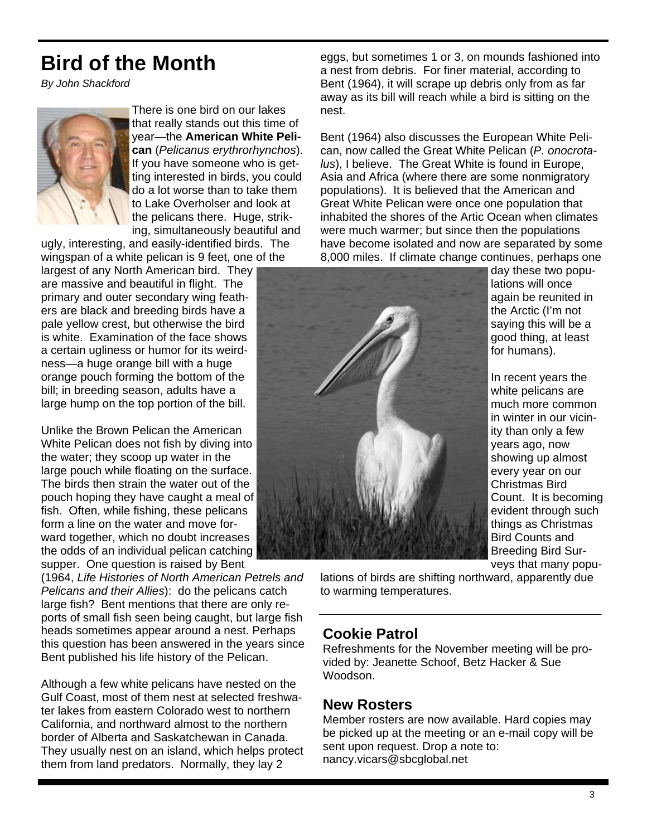# **Bird of the Month**

*By John Shackford* 



There is one bird on our lakes that really stands out this time of year—the **American White Pelican** (*Pelicanus erythrorhynchos*). If you have someone who is getting interested in birds, you could do a lot worse than to take them to Lake Overholser and look at the pelicans there. Huge, striking, simultaneously beautiful and

ugly, interesting, and easily-identified birds. The wingspan of a white pelican is 9 feet, one of the

largest of any North American bird. They are massive and beautiful in flight. The primary and outer secondary wing feathers are black and breeding birds have a pale yellow crest, but otherwise the bird is white. Examination of the face shows a certain ugliness or humor for its weirdness—a huge orange bill with a huge orange pouch forming the bottom of the bill; in breeding season, adults have a large hump on the top portion of the bill.

Unlike the Brown Pelican the American White Pelican does not fish by diving into the water; they scoop up water in the large pouch while floating on the surface. The birds then strain the water out of the pouch hoping they have caught a meal of fish. Often, while fishing, these pelicans form a line on the water and move forward together, which no doubt increases the odds of an individual pelican catching supper. One question is raised by Bent

(1964, *Life Histories of North American Petrels and Pelicans and their Allies*): do the pelicans catch large fish? Bent mentions that there are only reports of small fish seen being caught, but large fish heads sometimes appear around a nest. Perhaps this question has been answered in the years since Bent published his life history of the Pelican.

Although a few white pelicans have nested on the Gulf Coast, most of them nest at selected freshwater lakes from eastern Colorado west to northern California, and northward almost to the northern border of Alberta and Saskatchewan in Canada. They usually nest on an island, which helps protect them from land predators. Normally, they lay 2

eggs, but sometimes 1 or 3, on mounds fashioned into a nest from debris. For finer material, according to Bent (1964), it will scrape up debris only from as far away as its bill will reach while a bird is sitting on the nest.

Bent (1964) also discusses the European White Pelican, now called the Great White Pelican (*P. onocrotalus*), I believe. The Great White is found in Europe, Asia and Africa (where there are some nonmigratory populations). It is believed that the American and Great White Pelican were once one population that inhabited the shores of the Artic Ocean when climates were much warmer; but since then the populations have become isolated and now are separated by some 8,000 miles. If climate change continues, perhaps one



day these two populations will once again be reunited in the Arctic (I'm not saying this will be a good thing, at least for humans).

In recent years the white pelicans are much more common in winter in our vicinity than only a few years ago, now showing up almost every year on our Christmas Bird Count. It is becoming evident through such things as Christmas Bird Counts and Breeding Bird Surveys that many popu-

lations of birds are shifting northward, apparently due to warming temperatures.

### **Cookie Patrol**

Refreshments for the November meeting will be provided by: Jeanette Schoof, Betz Hacker & Sue Woodson.

### **New Rosters**

Member rosters are now available. Hard copies may be picked up at the meeting or an e-mail copy will be sent upon request. Drop a note to: nancy.vicars@sbcglobal.net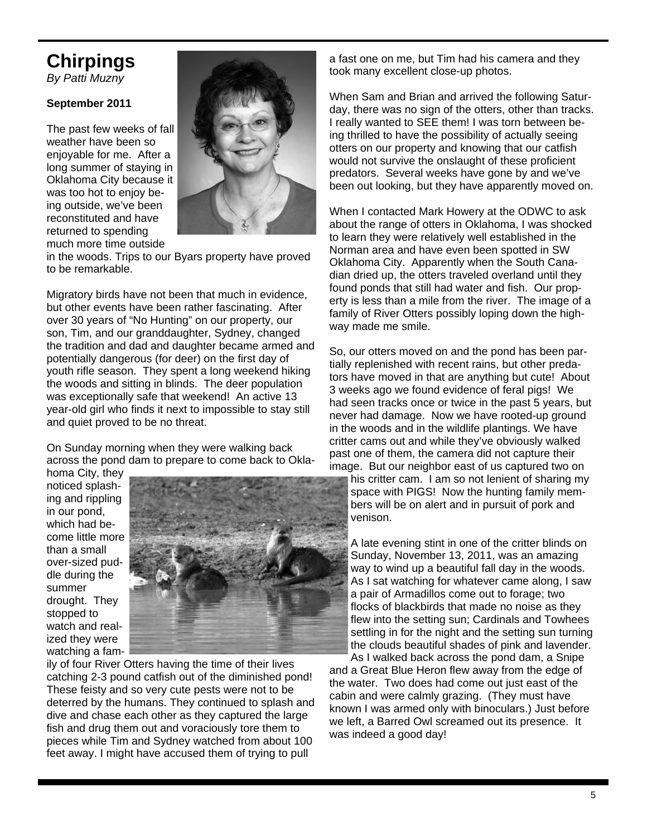# **Chirpings**

*By Patti Muzny* 

#### **September 2011**

The past few weeks of fall weather have been so enjoyable for me. After a long summer of staying in Oklahoma City because it was too hot to enjoy being outside, we've been reconstituted and have returned to spending much more time outside



in the woods. Trips to our Byars property have proved to be remarkable.

Migratory birds have not been that much in evidence, but other events have been rather fascinating. After over 30 years of "No Hunting" on our property, our son, Tim, and our granddaughter, Sydney, changed the tradition and dad and daughter became armed and potentially dangerous (for deer) on the first day of youth rifle season. They spent a long weekend hiking the woods and sitting in blinds. The deer population was exceptionally safe that weekend! An active 13 year-old girl who finds it next to impossible to stay still and quiet proved to be no threat.

On Sunday morning when they were walking back across the pond dam to prepare to come back to Okla-

homa City, they noticed splashing and rippling in our pond, which had become little more than a small over-sized puddle during the summer drought. They stopped to watch and realized they were watching a fam-



ily of four River Otters having the time of their lives catching 2-3 pound catfish out of the diminished pond! These feisty and so very cute pests were not to be deterred by the humans. They continued to splash and dive and chase each other as they captured the large fish and drug them out and voraciously tore them to pieces while Tim and Sydney watched from about 100 feet away. I might have accused them of trying to pull

a fast one on me, but Tim had his camera and they took many excellent close-up photos.

When Sam and Brian and arrived the following Saturday, there was no sign of the otters, other than tracks. I really wanted to SEE them! I was torn between being thrilled to have the possibility of actually seeing otters on our property and knowing that our catfish would not survive the onslaught of these proficient predators. Several weeks have gone by and we've been out looking, but they have apparently moved on.

When I contacted Mark Howery at the ODWC to ask about the range of otters in Oklahoma, I was shocked to learn they were relatively well established in the Norman area and have even been spotted in SW Oklahoma City. Apparently when the South Canadian dried up, the otters traveled overland until they found ponds that still had water and fish. Our property is less than a mile from the river. The image of a family of River Otters possibly loping down the highway made me smile.

So, our otters moved on and the pond has been partially replenished with recent rains, but other predators have moved in that are anything but cute! About 3 weeks ago we found evidence of feral pigs! We had seen tracks once or twice in the past 5 years, but never had damage. Now we have rooted-up ground in the woods and in the wildlife plantings. We have critter cams out and while they've obviously walked past one of them, the camera did not capture their image. But our neighbor east of us captured two on

his critter cam. I am so not lenient of sharing my space with PIGS! Now the hunting family members will be on alert and in pursuit of pork and venison.

A late evening stint in one of the critter blinds on Sunday, November 13, 2011, was an amazing way to wind up a beautiful fall day in the woods. As I sat watching for whatever came along, I saw a pair of Armadillos come out to forage; two flocks of blackbirds that made no noise as they flew into the setting sun; Cardinals and Towhees settling in for the night and the setting sun turning the clouds beautiful shades of pink and lavender. As I walked back across the pond dam, a Snipe

and a Great Blue Heron flew away from the edge of the water. Two does had come out just east of the cabin and were calmly grazing. (They must have known I was armed only with binoculars.) Just before we left, a Barred Owl screamed out its presence. It was indeed a good day!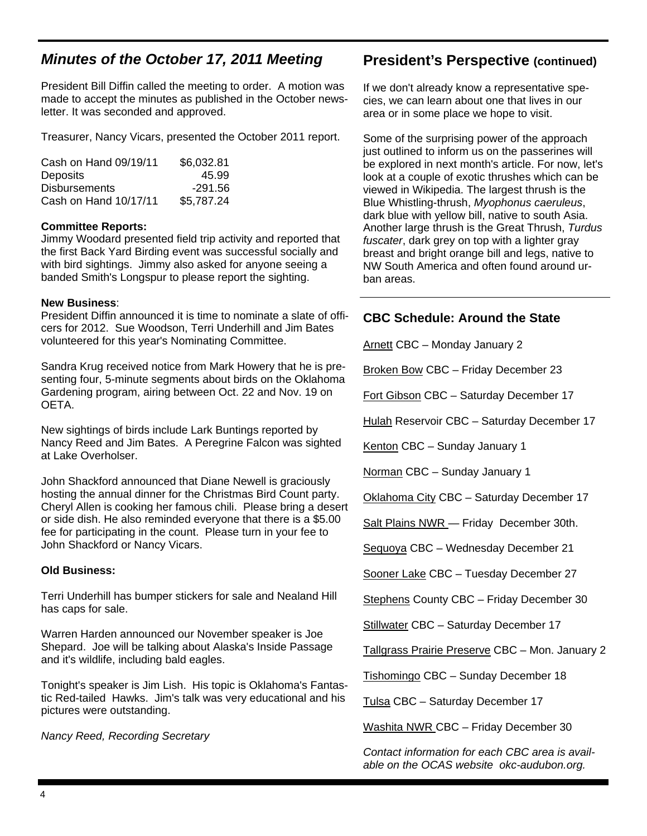### *Minutes of the October 17, 2011 Meeting*

President Bill Diffin called the meeting to order. A motion was made to accept the minutes as published in the October newsletter. It was seconded and approved.

Treasurer, Nancy Vicars, presented the October 2011 report.

| Cash on Hand 09/19/11 | \$6,032.81 |
|-----------------------|------------|
| <b>Deposits</b>       | 45.99      |
| <b>Disbursements</b>  | $-291.56$  |
| Cash on Hand 10/17/11 | \$5,787.24 |

#### **Committee Reports:**

Jimmy Woodard presented field trip activity and reported that the first Back Yard Birding event was successful socially and with bird sightings. Jimmy also asked for anyone seeing a banded Smith's Longspur to please report the sighting.

#### **New Business**:

President Diffin announced it is time to nominate a slate of officers for 2012. Sue Woodson, Terri Underhill and Jim Bates volunteered for this year's Nominating Committee.

Sandra Krug received notice from Mark Howery that he is presenting four, 5-minute segments about birds on the Oklahoma Gardening program, airing between Oct. 22 and Nov. 19 on OETA.

New sightings of birds include Lark Buntings reported by Nancy Reed and Jim Bates. A Peregrine Falcon was sighted at Lake Overholser.

John Shackford announced that Diane Newell is graciously hosting the annual dinner for the Christmas Bird Count party. Cheryl Allen is cooking her famous chili. Please bring a desert or side dish. He also reminded everyone that there is a \$5.00 fee for participating in the count. Please turn in your fee to John Shackford or Nancy Vicars.

#### **Old Business:**

Terri Underhill has bumper stickers for sale and Nealand Hill has caps for sale.

Warren Harden announced our November speaker is Joe Shepard. Joe will be talking about Alaska's Inside Passage and it's wildlife, including bald eagles.

Tonight's speaker is Jim Lish. His topic is Oklahoma's Fantastic Red-tailed Hawks. Jim's talk was very educational and his pictures were outstanding.

*Nancy Reed, Recording Secretary* 

### **President's Perspective (continued)**

If we don't already know a representative species, we can learn about one that lives in our area or in some place we hope to visit.

Some of the surprising power of the approach just outlined to inform us on the passerines will be explored in next month's article. For now, let's look at a couple of exotic thrushes which can be viewed in Wikipedia. The largest thrush is the Blue Whistling-thrush, *Myophonus caeruleus*, dark blue with yellow bill, native to south Asia. Another large thrush is the Great Thrush, *Turdus fuscater*, dark grey on top with a lighter gray breast and bright orange bill and legs, native to NW South America and often found around urban areas.

#### **CBC Schedule: Around the State**

Arnett CBC – Monday January 2

Broken Bow CBC – Friday December 23

Fort Gibson CBC – Saturday December 17

Hulah Reservoir CBC - Saturday December 17

Kenton CBC – Sunday January 1

Norman CBC – Sunday January 1

Oklahoma City CBC – Saturday December 17

Salt Plains NWR — Friday December 30th.

Sequoya CBC – Wednesday December 21

Sooner Lake CBC – Tuesday December 27

Stephens County CBC – Friday December 30

Stillwater CBC – Saturday December 17

Tallgrass Prairie Preserve CBC – Mon. January 2

Tishomingo CBC – Sunday December 18

Tulsa CBC – Saturday December 17

Washita NWR CBC – Friday December 30

*Contact information for each CBC area is available on the OCAS website okc-audubon.org.*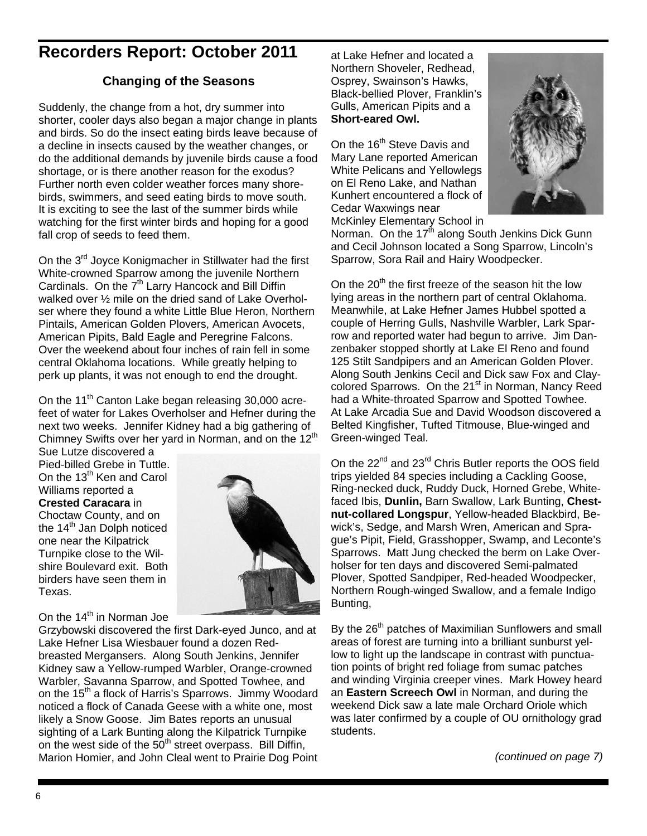# **Recorders Report: October 2011**

#### **Changing of the Seasons**

Suddenly, the change from a hot, dry summer into shorter, cooler days also began a major change in plants and birds. So do the insect eating birds leave because of a decline in insects caused by the weather changes, or do the additional demands by juvenile birds cause a food shortage, or is there another reason for the exodus? Further north even colder weather forces many shorebirds, swimmers, and seed eating birds to move south. It is exciting to see the last of the summer birds while watching for the first winter birds and hoping for a good fall crop of seeds to feed them.

On the 3<sup>rd</sup> Joyce Konigmacher in Stillwater had the first White-crowned Sparrow among the juvenile Northern Cardinals. On the 7<sup>th</sup> Larry Hancock and Bill Diffin walked over ½ mile on the dried sand of Lake Overholser where they found a white Little Blue Heron, Northern Pintails, American Golden Plovers, American Avocets, American Pipits, Bald Eagle and Peregrine Falcons. Over the weekend about four inches of rain fell in some central Oklahoma locations. While greatly helping to perk up plants, it was not enough to end the drought.

On the 11<sup>th</sup> Canton Lake began releasing 30,000 acrefeet of water for Lakes Overholser and Hefner during the next two weeks. Jennifer Kidney had a big gathering of Chimney Swifts over her yard in Norman, and on the 12<sup>th</sup>

Sue Lutze discovered a Pied-billed Grebe in Tuttle. On the 13<sup>th</sup> Ken and Carol Williams reported a **Crested Caracara** in Choctaw County, and on the  $14<sup>th</sup>$  Jan Dolph noticed one near the Kilpatrick Turnpike close to the Wilshire Boulevard exit. Both birders have seen them in Texas.



On the  $14<sup>th</sup>$  in Norman Joe

Grzybowski discovered the first Dark-eyed Junco, and at Lake Hefner Lisa Wiesbauer found a dozen Redbreasted Mergansers. Along South Jenkins, Jennifer Kidney saw a Yellow-rumped Warbler, Orange-crowned Warbler, Savanna Sparrow, and Spotted Towhee, and on the 15<sup>th</sup> a flock of Harris's Sparrows. Jimmy Woodard noticed a flock of Canada Geese with a white one, most likely a Snow Goose. Jim Bates reports an unusual sighting of a Lark Bunting along the Kilpatrick Turnpike on the west side of the  $50<sup>th</sup>$  street overpass. Bill Diffin, Marion Homier, and John Cleal went to Prairie Dog Point at Lake Hefner and located a Northern Shoveler, Redhead, Osprey, Swainson's Hawks, Black-bellied Plover, Franklin's Gulls, American Pipits and a **Short-eared Owl.** 

On the 16<sup>th</sup> Steve Davis and Mary Lane reported American White Pelicans and Yellowlegs on El Reno Lake, and Nathan Kunhert encountered a flock of Cedar Waxwings near McKinley Elementary School in



Norman. On the 17<sup>th</sup> along South Jenkins Dick Gunn and Cecil Johnson located a Song Sparrow, Lincoln's Sparrow, Sora Rail and Hairy Woodpecker.

On the 20<sup>th</sup> the first freeze of the season hit the low lying areas in the northern part of central Oklahoma. Meanwhile, at Lake Hefner James Hubbel spotted a couple of Herring Gulls, Nashville Warbler, Lark Sparrow and reported water had begun to arrive. Jim Danzenbaker stopped shortly at Lake El Reno and found 125 Stilt Sandpipers and an American Golden Plover. Along South Jenkins Cecil and Dick saw Fox and Claycolored Sparrows. On the 21<sup>st</sup> in Norman, Nancy Reed had a White-throated Sparrow and Spotted Towhee. At Lake Arcadia Sue and David Woodson discovered a Belted Kingfisher, Tufted Titmouse, Blue-winged and Green-winged Teal.

On the 22<sup>nd</sup> and 23<sup>rd</sup> Chris Butler reports the OOS field trips yielded 84 species including a Cackling Goose, Ring-necked duck, Ruddy Duck, Horned Grebe, Whitefaced Ibis, **Dunlin,** Barn Swallow, Lark Bunting, **Chestnut-collared Longspur**, Yellow-headed Blackbird, Bewick's, Sedge, and Marsh Wren, American and Sprague's Pipit, Field, Grasshopper, Swamp, and Leconte's Sparrows. Matt Jung checked the berm on Lake Overholser for ten days and discovered Semi-palmated Plover, Spotted Sandpiper, Red-headed Woodpecker, Northern Rough-winged Swallow, and a female Indigo Bunting,

By the 26<sup>th</sup> patches of Maximilian Sunflowers and small areas of forest are turning into a brilliant sunburst yellow to light up the landscape in contrast with punctuation points of bright red foliage from sumac patches and winding Virginia creeper vines. Mark Howey heard an **Eastern Screech Owl** in Norman, and during the weekend Dick saw a late male Orchard Oriole which was later confirmed by a couple of OU ornithology grad students.

*(continued on page 7)*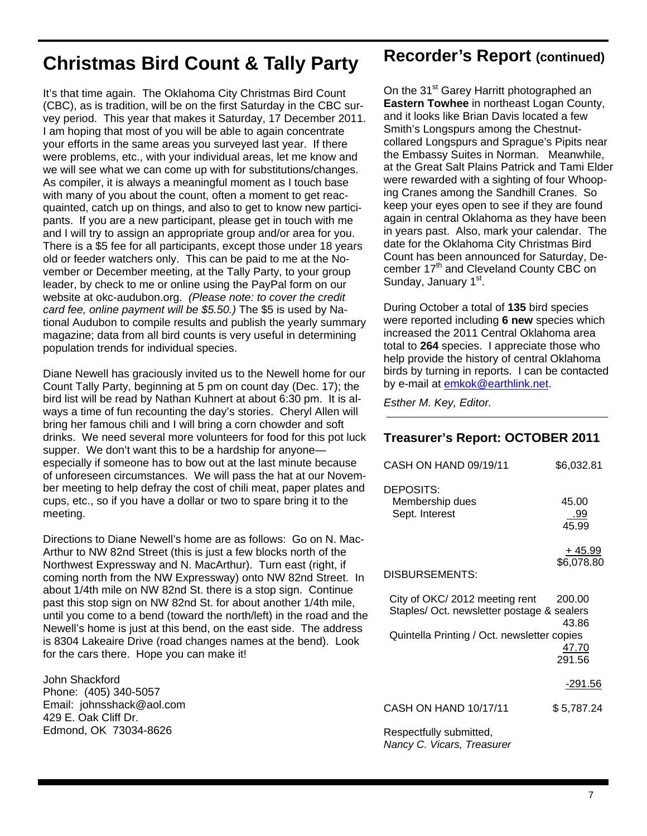# **Christmas Bird Count & Tally Party**

It's that time again. The Oklahoma City Christmas Bird Count (CBC), as is tradition, will be on the first Saturday in the CBC survey period. This year that makes it Saturday, 17 December 2011. I am hoping that most of you will be able to again concentrate your efforts in the same areas you surveyed last year. If there were problems, etc., with your individual areas, let me know and we will see what we can come up with for substitutions/changes. As compiler, it is always a meaningful moment as I touch base with many of you about the count, often a moment to get reacquainted, catch up on things, and also to get to know new participants. If you are a new participant, please get in touch with me and I will try to assign an appropriate group and/or area for you. There is a \$5 fee for all participants, except those under 18 years old or feeder watchers only. This can be paid to me at the November or December meeting, at the Tally Party, to your group leader, by check to me or online using the PayPal form on our website at okc-audubon.org. *(Please note: to cover the credit card fee, online payment will be \$5.50.)* The \$5 is used by National Audubon to compile results and publish the yearly summary magazine; data from all bird counts is very useful in determining population trends for individual species.

Diane Newell has graciously invited us to the Newell home for our Count Tally Party, beginning at 5 pm on count day (Dec. 17); the bird list will be read by Nathan Kuhnert at about 6:30 pm. It is always a time of fun recounting the day's stories. Cheryl Allen will bring her famous chili and I will bring a corn chowder and soft drinks. We need several more volunteers for food for this pot luck supper. We don't want this to be a hardship for anyone especially if someone has to bow out at the last minute because of unforeseen circumstances. We will pass the hat at our November meeting to help defray the cost of chili meat, paper plates and cups, etc., so if you have a dollar or two to spare bring it to the meeting.

Directions to Diane Newell's home are as follows: Go on N. Mac-Arthur to NW 82nd Street (this is just a few blocks north of the Northwest Expressway and N. MacArthur). Turn east (right, if coming north from the NW Expressway) onto NW 82nd Street. In about 1/4th mile on NW 82nd St. there is a stop sign. Continue past this stop sign on NW 82nd St. for about another 1/4th mile, until you come to a bend (toward the north/left) in the road and the Newell's home is just at this bend, on the east side. The address is 8304 Lakeaire Drive (road changes names at the bend). Look for the cars there. Hope you can make it!

John Shackford Phone: (405) 340-5057 Email: johnsshack@aol.com 429 E. Oak Cliff Dr. Edmond, OK 73034-8626

## **Recorder's Report (continued)**

On the 31<sup>st</sup> Garey Harritt photographed an **Eastern Towhee** in northeast Logan County, and it looks like Brian Davis located a few Smith's Longspurs among the Chestnutcollared Longspurs and Sprague's Pipits near the Embassy Suites in Norman. Meanwhile, at the Great Salt Plains Patrick and Tami Elder were rewarded with a sighting of four Whooping Cranes among the Sandhill Cranes. So keep your eyes open to see if they are found again in central Oklahoma as they have been in years past. Also, mark your calendar. The date for the Oklahoma City Christmas Bird Count has been announced for Saturday, December 17<sup>th</sup> and Cleveland County CBC on Sunday, January 1<sup>st</sup>.

During October a total of **135** bird species were reported including **6 new** species which increased the 2011 Central Oklahoma area total to **264** species. I appreciate those who help provide the history of central Oklahoma birds by turning in reports. I can be contacted by e-mail at emkok@earthlink.net.

*Esther M. Key, Editor.* 

#### **Treasurer's Report: OCTOBER 2011**

| CASH ON HAND 09/19/11                                                       | \$6,032.81                   |
|-----------------------------------------------------------------------------|------------------------------|
| DEPOSITS:<br>Membership dues<br>Sept. Interest                              | 45.00<br><u>.99</u><br>45.99 |
| DISBURSEMENTS:                                                              | + 45.99<br>\$6,078.80        |
| City of OKC/2012 meeting rent<br>Staples/ Oct. newsletter postage & sealers | 200.00<br>43.86              |
| Quintella Printing / Oct. newsletter copies                                 | 47.70<br>291.56              |
|                                                                             | -291.56                      |
| <b>CASH ON HAND 10/17/11</b>                                                | \$5,787.24                   |
| Respectfully submitted,                                                     |                              |

*Nancy C. Vicars, Treasurer*